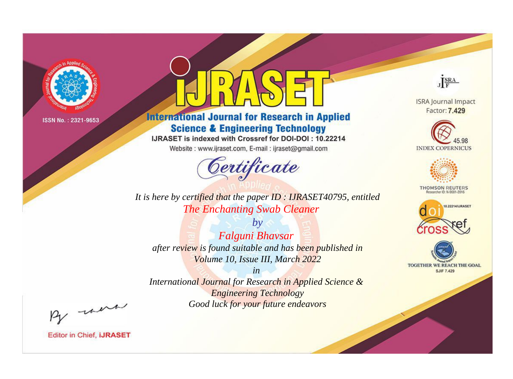

# **International Journal for Research in Applied Science & Engineering Technology**

IJRASET is indexed with Crossref for DOI-DOI: 10.22214

Website: www.ijraset.com, E-mail: ijraset@gmail.com



JERA

**ISRA Journal Impact** Factor: 7.429





**THOMSON REUTERS** 



TOGETHER WE REACH THE GOAL **SJIF 7.429** 

*It is here by certified that the paper ID : IJRASET40795, entitled The Enchanting Swab Cleaner*

*by Falguni Bhavsar after review is found suitable and has been published in Volume 10, Issue III, March 2022*

*in* 

*International Journal for Research in Applied Science & Engineering Technology Good luck for your future endeavors*

By morn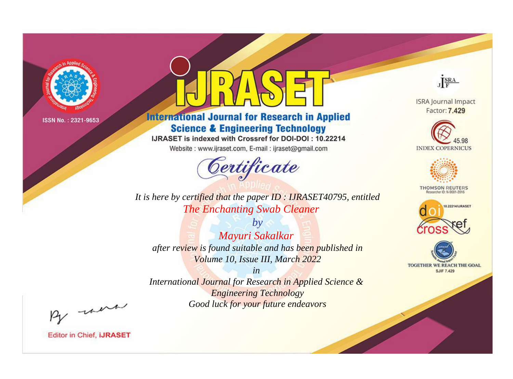

# **International Journal for Research in Applied Science & Engineering Technology**

IJRASET is indexed with Crossref for DOI-DOI: 10.22214

Website: www.ijraset.com, E-mail: ijraset@gmail.com



JERA **ISRA Journal Impact** 

Factor: 7.429





**THOMSON REUTERS** 



TOGETHER WE REACH THE GOAL **SJIF 7.429** 

*It is here by certified that the paper ID : IJRASET40795, entitled The Enchanting Swab Cleaner*

*by Mayuri Sakalkar after review is found suitable and has been published in Volume 10, Issue III, March 2022*

*in* 

*International Journal for Research in Applied Science & Engineering Technology Good luck for your future endeavors*

By morn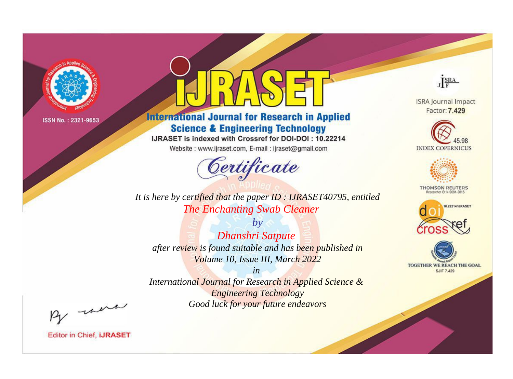

# **International Journal for Research in Applied Science & Engineering Technology**

IJRASET is indexed with Crossref for DOI-DOI: 10.22214

Website: www.ijraset.com, E-mail: ijraset@gmail.com



JERA

**ISRA Journal Impact** Factor: 7.429





**THOMSON REUTERS** 



TOGETHER WE REACH THE GOAL **SJIF 7.429** 

It is here by certified that the paper ID: IJRASET40795, entitled The Enchanting Swab Cleaner

 $b\nu$ **Dhanshri Satpute** after review is found suitable and has been published in Volume 10, Issue III, March 2022

 $in$ International Journal for Research in Applied Science & **Engineering Technology** Good luck for your future endeavors

By morn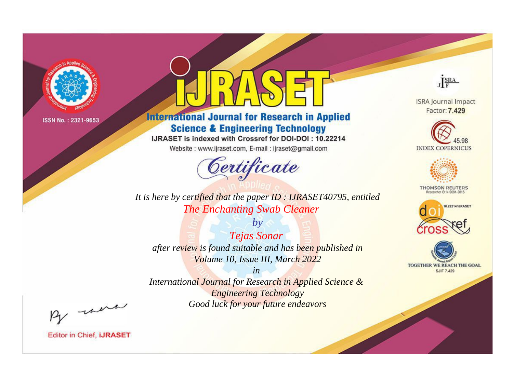

# **International Journal for Research in Applied Science & Engineering Technology**

IJRASET is indexed with Crossref for DOI-DOI: 10.22214

Website: www.ijraset.com, E-mail: ijraset@gmail.com



JERA

**ISRA Journal Impact** Factor: 7.429





**THOMSON REUTERS** 



TOGETHER WE REACH THE GOAL **SJIF 7.429** 

*It is here by certified that the paper ID : IJRASET40795, entitled The Enchanting Swab Cleaner*

*by Tejas Sonar after review is found suitable and has been published in Volume 10, Issue III, March 2022*

*in* 

*International Journal for Research in Applied Science & Engineering Technology Good luck for your future endeavors*

By morn